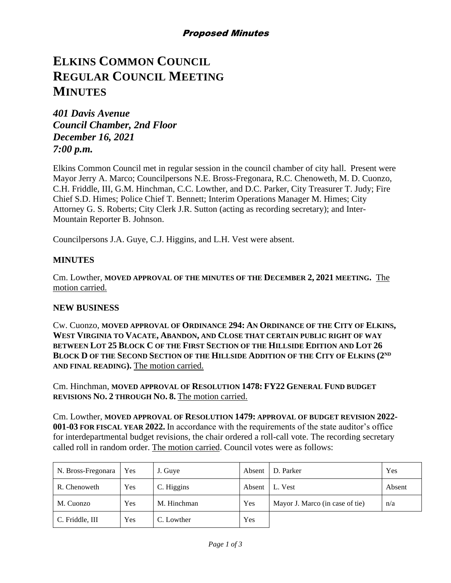# **ELKINS COMMON COUNCIL REGULAR COUNCIL MEETING MINUTES**

*401 Davis Avenue Council Chamber, 2nd Floor December 16, 2021 7:00 p.m.*

Elkins Common Council met in regular session in the council chamber of city hall. Present were Mayor Jerry A. Marco; Councilpersons N.E. Bross-Fregonara, R.C. Chenoweth, M. D. Cuonzo, C.H. Friddle, III, G.M. Hinchman, C.C. Lowther, and D.C. Parker, City Treasurer T. Judy; Fire Chief S.D. Himes; Police Chief T. Bennett; Interim Operations Manager M. Himes; City Attorney G. S. Roberts; City Clerk J.R. Sutton (acting as recording secretary); and Inter-Mountain Reporter B. Johnson.

Councilpersons J.A. Guye, C.J. Higgins, and L.H. Vest were absent.

## **MINUTES**

Cm. Lowther, **MOVED APPROVAL OF THE MINUTES OF THE DECEMBER 2, 2021 MEETING.** The motion carried.

## **NEW BUSINESS**

Cw. Cuonzo, **MOVED APPROVAL OF ORDINANCE 294: AN ORDINANCE OF THE CITY OF ELKINS, WEST VIRGINIA TO VACATE, ABANDON, AND CLOSE THAT CERTAIN PUBLIC RIGHT OF WAY BETWEEN LOT 25 BLOCK C OF THE FIRST SECTION OF THE HILLSIDE EDITION AND LOT 26 BLOCK D OF THE SECOND SECTION OF THE HILLSIDE ADDITION OF THE CITY OF ELKINS (2ND AND FINAL READING).** The motion carried.

Cm. Hinchman, **MOVED APPROVAL OF RESOLUTION 1478: FY22 GENERAL FUND BUDGET REVISIONS NO. 2 THROUGH NO. 8.** The motion carried.

Cm. Lowther, **MOVED APPROVAL OF RESOLUTION 1479: APPROVAL OF BUDGET REVISION 2022- 001-03 FOR FISCAL YEAR 2022.** In accordance with the requirements of the state auditor's office for interdepartmental budget revisions, the chair ordered a roll-call vote. The recording secretary called roll in random order. The motion carried. Council votes were as follows:

| N. Bross-Fregonara | Yes | J. Guye     | Absent | D. Parker                       | Yes    |
|--------------------|-----|-------------|--------|---------------------------------|--------|
| R. Chenoweth       | Yes | C. Higgins  | Absent | L. Vest                         | Absent |
| M. Cuonzo          | Yes | M. Hinchman | Yes    | Mayor J. Marco (in case of tie) | n/a    |
| C. Friddle, III    | Yes | C. Lowther  | Yes    |                                 |        |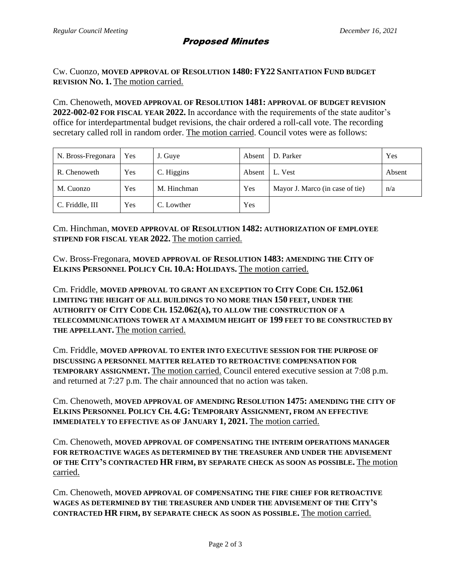## Proposed Minutes

Cw. Cuonzo, **MOVED APPROVAL OF RESOLUTION 1480: FY22 SANITATION FUND BUDGET REVISION NO. 1.** The motion carried.

Cm. Chenoweth, **MOVED APPROVAL OF RESOLUTION 1481: APPROVAL OF BUDGET REVISION 2022-002-02 FOR FISCAL YEAR 2022.** In accordance with the requirements of the state auditor's office for interdepartmental budget revisions, the chair ordered a roll-call vote. The recording secretary called roll in random order. The motion carried. Council votes were as follows:

| N. Bross-Fregonara | <b>Yes</b> | J. Guye     | Absent | D. Parker                       | Yes    |
|--------------------|------------|-------------|--------|---------------------------------|--------|
| R. Chenoweth       | Yes        | C. Higgins  | Absent | L. Vest                         | Absent |
| M. Cuonzo          | Yes        | M. Hinchman | Yes    | Mayor J. Marco (in case of tie) | n/a    |
| C. Friddle, III    | Yes        | C. Lowther  | Yes    |                                 |        |

Cm. Hinchman, **MOVED APPROVAL OF RESOLUTION 1482: AUTHORIZATION OF EMPLOYEE STIPEND FOR FISCAL YEAR 2022.** The motion carried.

Cw. Bross-Fregonara, **MOVED APPROVAL OF RESOLUTION 1483: AMENDING THE CITY OF ELKINS PERSONNEL POLICY CH. 10.A: HOLIDAYS.** The motion carried.

Cm. Friddle, **MOVED APPROVAL TO GRANT AN EXCEPTION TO CITY CODE CH. 152.061 LIMITING THE HEIGHT OF ALL BUILDINGS TO NO MORE THAN 150 FEET, UNDER THE AUTHORITY OF CITY CODE CH. 152.062(A), TO ALLOW THE CONSTRUCTION OF A TELECOMMUNICATIONS TOWER AT A MAXIMUM HEIGHT OF 199 FEET TO BE CONSTRUCTED BY THE APPELLANT.** The motion carried.

Cm. Friddle, **MOVED APPROVAL TO ENTER INTO EXECUTIVE SESSION FOR THE PURPOSE OF DISCUSSING A PERSONNEL MATTER RELATED TO RETROACTIVE COMPENSATION FOR TEMPORARY ASSIGNMENT.** The motion carried. Council entered executive session at 7:08 p.m. and returned at 7:27 p.m. The chair announced that no action was taken.

Cm. Chenoweth, **MOVED APPROVAL OF AMENDING RESOLUTION 1475: AMENDING THE CITY OF ELKINS PERSONNEL POLICY CH. 4.G: TEMPORARY ASSIGNMENT, FROM AN EFFECTIVE IMMEDIATELY TO EFFECTIVE AS OF JANUARY 1, 2021.** The motion carried.

Cm. Chenoweth, **MOVED APPROVAL OF COMPENSATING THE INTERIM OPERATIONS MANAGER FOR RETROACTIVE WAGES AS DETERMINED BY THE TREASURER AND UNDER THE ADVISEMENT OF THE CITY'S CONTRACTED HR FIRM, BY SEPARATE CHECK AS SOON AS POSSIBLE.** The motion carried.

Cm. Chenoweth, **MOVED APPROVAL OF COMPENSATING THE FIRE CHIEF FOR RETROACTIVE WAGES AS DETERMINED BY THE TREASURER AND UNDER THE ADVISEMENT OF THE CITY'S CONTRACTED HR FIRM, BY SEPARATE CHECK AS SOON AS POSSIBLE.** The motion carried.